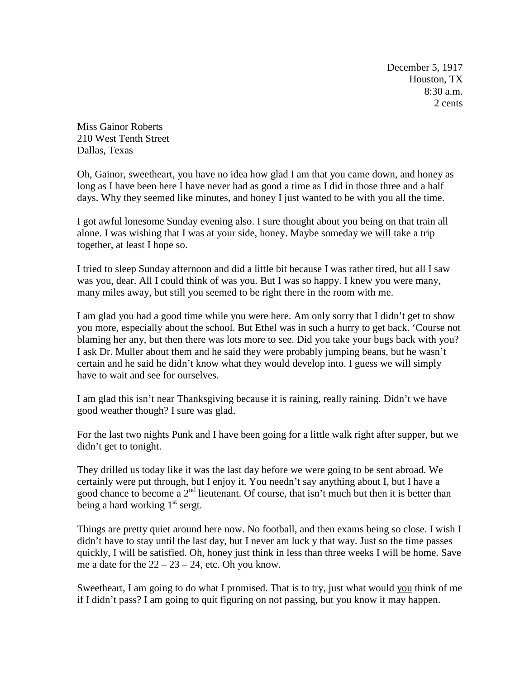December 5, 1917 Houston, TX 8:30 a.m. 2 cents

Miss Gainor Roberts 210 West Tenth Street Dallas, Texas

Oh, Gainor, sweetheart, you have no idea how glad I am that you came down, and honey as long as I have been here I have never had as good a time as I did in those three and a half days. Why they seemed like minutes, and honey I just wanted to be with you all the time.

I got awful lonesome Sunday evening also. I sure thought about you being on that train all alone. I was wishing that I was at your side, honey. Maybe someday we will take a trip together, at least I hope so.

I tried to sleep Sunday afternoon and did a little bit because I was rather tired, but all I saw was you, dear. All I could think of was you. But I was so happy. I knew you were many, many miles away, but still you seemed to be right there in the room with me.

I am glad you had a good time while you were here. Am only sorry that I didn't get to show you more, especially about the school. But Ethel was in such a hurry to get back. 'Course not blaming her any, but then there was lots more to see. Did you take your bugs back with you? I ask Dr. Muller about them and he said they were probably jumping beans, but he wasn't certain and he said he didn't know what they would develop into. I guess we will simply have to wait and see for ourselves.

I am glad this isn't near Thanksgiving because it is raining, really raining. Didn't we have good weather though? I sure was glad.

For the last two nights Punk and I have been going for a little walk right after supper, but we didn't get to tonight.

They drilled us today like it was the last day before we were going to be sent abroad. We certainly were put through, but I enjoy it. You needn't say anything about I, but I have a good chance to become a  $2<sup>nd</sup>$  lieutenant. Of course, that isn't much but then it is better than being a hard working 1<sup>st</sup> sergt.

Things are pretty quiet around here now. No football, and then exams being so close. I wish I didn't have to stay until the last day, but I never am luck y that way. Just so the time passes quickly, I will be satisfied. Oh, honey just think in less than three weeks I will be home. Save me a date for the  $22 - 23 - 24$ , etc. Oh you know.

Sweetheart, I am going to do what I promised. That is to try, just what would you think of me if I didn't pass? I am going to quit figuring on not passing, but you know it may happen.